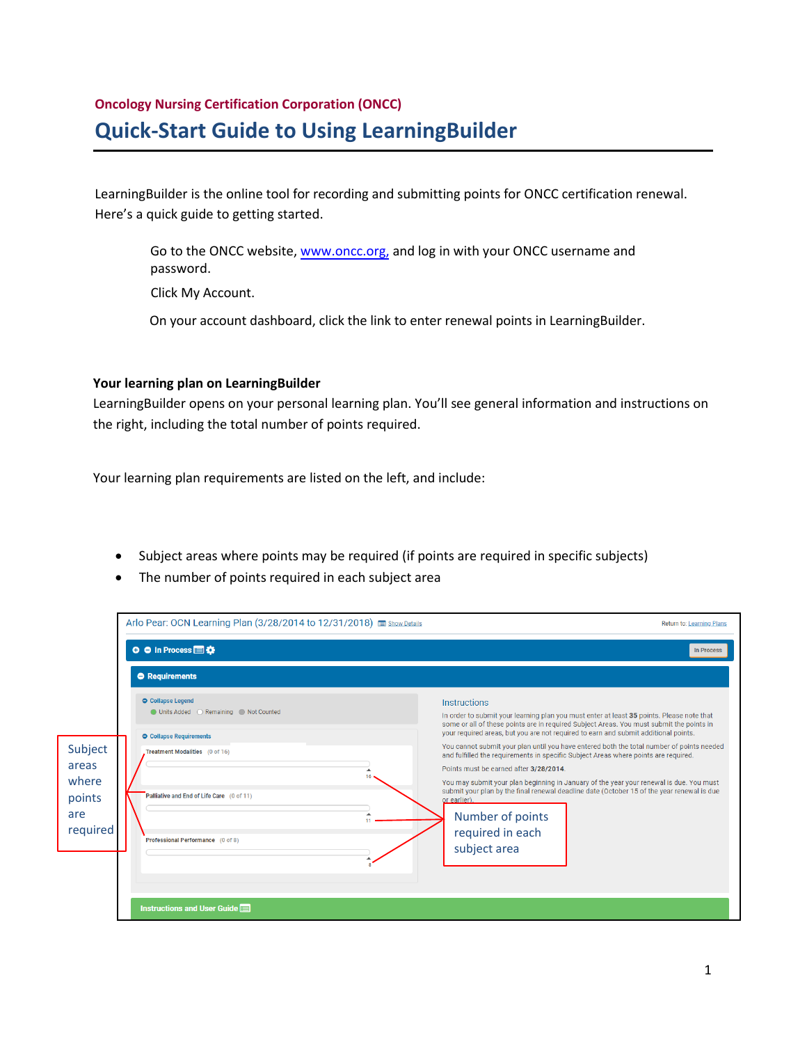# **Oncology Nursing Certification Corporation (ONCC) Quick-Start Guide to Using LearningBuilder**

LearningBuilder is the online tool for recording and submitting points for ONCC certification renewal. Here's a quick guide to getting started.

Go to the ONCC website, www.oncc.org, and log in with your ONCC username and password.

Click My Accou[nt](http://www.oncc.org/).

On your account dashboard, click the link to enter renewal points in LearningBuilder.

## **Your learning plan on LearningBuilder**

LearningBuilder opens on your personal learning plan. You'll see general information and instructions on the right, including the total number of points required.

Your learning plan requirements are listed on the left, and include:

- Subject areas where points may be required (if points are required in specific subjects)
- The number of points required in each subject area

| Arlo Pear: OCN Learning Plan (3/28/2014 to 12/31/2018) show Details                                                                                                                                                                                                                  | Return to: Learning Plans                                                                                                                                                                                                                                                                                                                                                                                                                                                                                                                                                                                                                                                                                                                                                                   |
|--------------------------------------------------------------------------------------------------------------------------------------------------------------------------------------------------------------------------------------------------------------------------------------|---------------------------------------------------------------------------------------------------------------------------------------------------------------------------------------------------------------------------------------------------------------------------------------------------------------------------------------------------------------------------------------------------------------------------------------------------------------------------------------------------------------------------------------------------------------------------------------------------------------------------------------------------------------------------------------------------------------------------------------------------------------------------------------------|
| <b>O</b> ● In Process ■卷                                                                                                                                                                                                                                                             | <b>In Process</b>                                                                                                                                                                                                                                                                                                                                                                                                                                                                                                                                                                                                                                                                                                                                                                           |
| <b>O</b> Requirements                                                                                                                                                                                                                                                                |                                                                                                                                                                                                                                                                                                                                                                                                                                                                                                                                                                                                                                                                                                                                                                                             |
| Collapse Legend<br>O Units Added (C) Remaining (C) Not Counted<br><b>O</b> Collapse Requirements<br>Subject<br>Treatment Modalities (0 of 16)<br>areas<br>where<br>Palliative and End of Life Care (0 of 11)<br>points<br>are<br>11<br>required<br>Professional Performance (0 of 8) | Instructions<br>In order to submit your learning plan you must enter at least 35 points. Please note that<br>some or all of these points are in required Subject Areas. You must submit the points in<br>your required areas, but you are not required to earn and submit additional points.<br>You cannot submit your plan until you have entered both the total number of points needed<br>and fulfilled the requirements in specific Subject Areas where points are required.<br>Points must be earned after 3/28/2014.<br>You may submit your plan beginning in January of the year your renewal is due. You must<br>submit your plan by the final renewal deadline date (October 15 of the year renewal is due<br>or earlier).<br>Number of points<br>required in each<br>subject area |
| Instructions and User Guide                                                                                                                                                                                                                                                          |                                                                                                                                                                                                                                                                                                                                                                                                                                                                                                                                                                                                                                                                                                                                                                                             |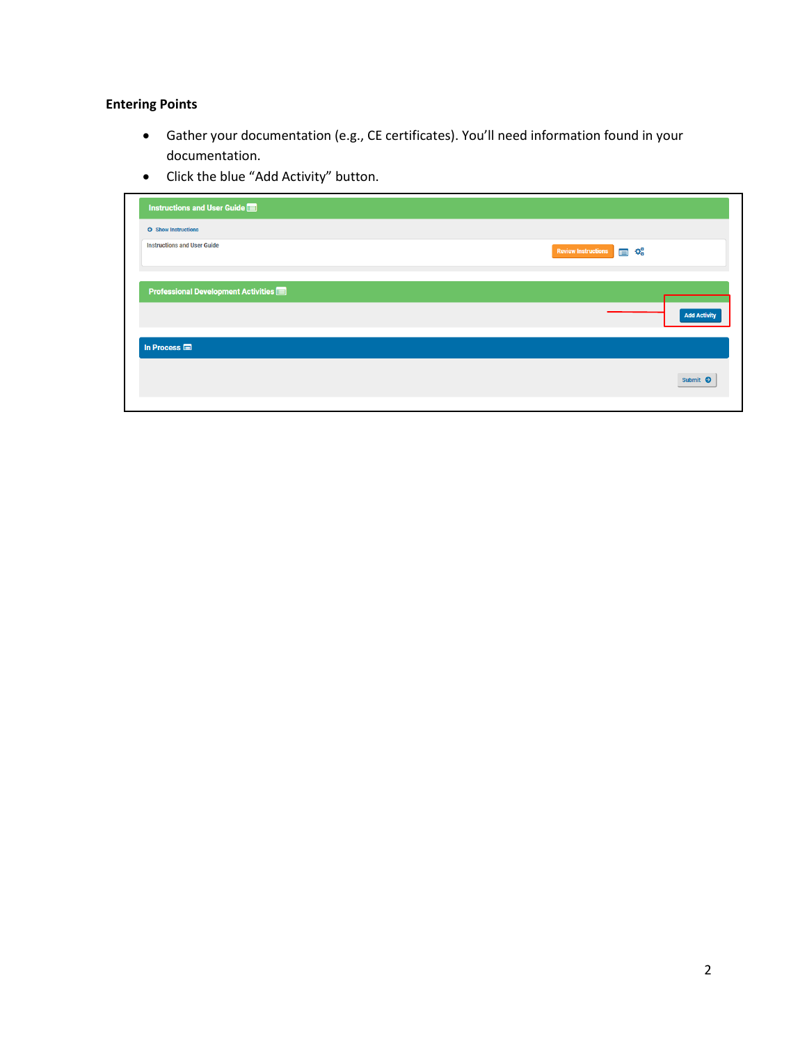## **Entering Points**

- Gather your documentation (e.g., CE certificates). You'll need information found in your documentation.
- Click the blue "Add Activity" button.

| $\mathbf{Q}_0^{\text{B}}$<br><b>Review Instructions</b><br>$\blacksquare$ |
|---------------------------------------------------------------------------|
|                                                                           |
| <b>Add Activity</b>                                                       |
|                                                                           |
| Submit <sup>O</sup>                                                       |
|                                                                           |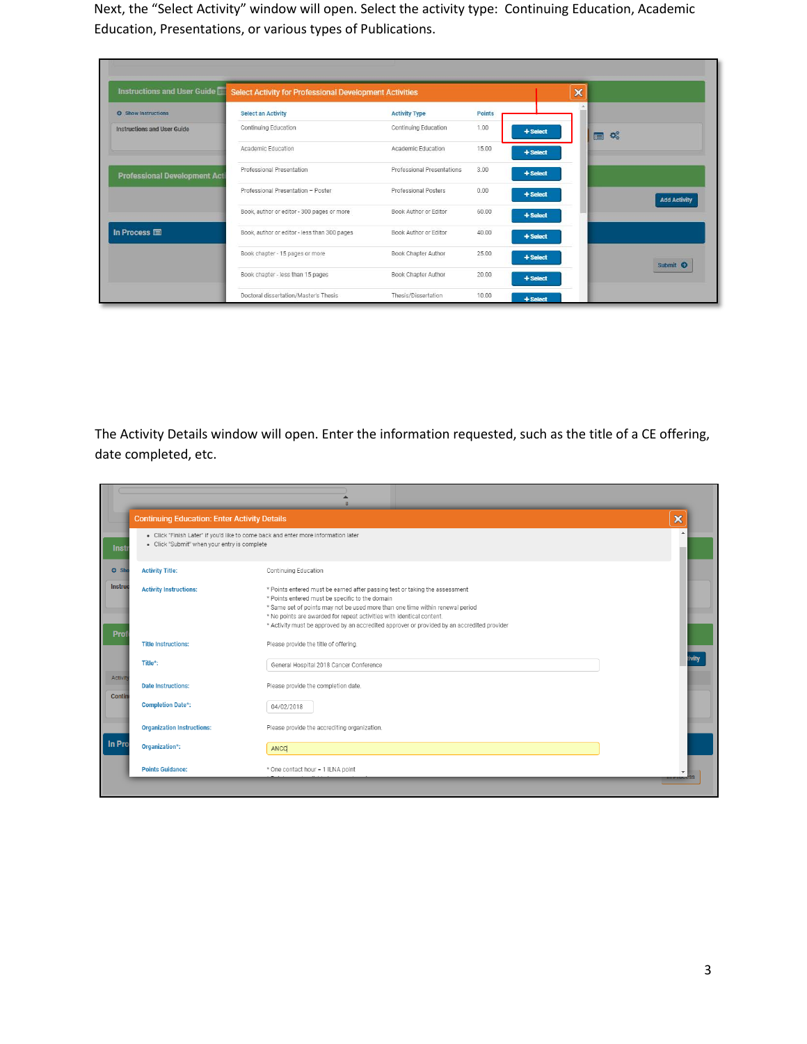Next, the "Select Activity" window will open. Select the activity type: Continuing Education, Academic Education, Presentations, or various types of Publications.

| <b>Instructions and User Guide</b>  | <b>Select Activity for Professional Development Activities</b> |                             |               |            | $\boldsymbol{\mathsf{x}}$ |                     |
|-------------------------------------|----------------------------------------------------------------|-----------------------------|---------------|------------|---------------------------|---------------------|
| <b>O</b> Show Instructions          | <b>Select an Activity</b>                                      | <b>Activity Type</b>        | <b>Points</b> |            |                           |                     |
| <b>Instructions and User Guide</b>  | Continuing Education                                           | Continuing Education        | 1.00          | + Select   |                           | 目空                  |
|                                     | Academic Education                                             | Academic Education          | 15.00         | + Select   |                           |                     |
| <b>Professional Development Act</b> | Professional Presentation                                      | Professional Presentations  | 3.00          | $+$ Select |                           |                     |
|                                     | Professional Presentation - Poster                             | <b>Professional Posters</b> | 0.00          | + Select   |                           | <b>Add Activity</b> |
|                                     | Book, author or editor - 300 pages or more                     | Book Author or Editor       | 60.00         | + Select   |                           |                     |
| In Process <b>圖</b>                 | Book, author or editor - less than 300 pages                   | Book Author or Editor       | 40.00         | $+$ Select |                           |                     |
|                                     | Book chapter - 15 pages or more                                | Book Chapter Author         | 25.00         | + Select   |                           |                     |
|                                     | Book chapter - less than 15 pages                              | Book Chapter Author         | 20.00         | $+$ Select |                           | Submit <sup>O</sup> |
|                                     | Doctoral dissertation/Master's Thesis                          | Thesis/Dissertation         | 10.00         | + Select   |                           |                     |

The Activity Details window will open. Enter the information requested, such as the title of a CE offering, date completed, etc.

| <b>Continuing Education: Enter Activity Details</b>  |                                                                                                                                                                                                                                                                                                                                                                                         | ×                        |
|------------------------------------------------------|-----------------------------------------------------------------------------------------------------------------------------------------------------------------------------------------------------------------------------------------------------------------------------------------------------------------------------------------------------------------------------------------|--------------------------|
| - Click "Submit" when your entry is complete<br>Inst | - Click "Finish Later" if you'd like to come back and enter more information later                                                                                                                                                                                                                                                                                                      | $\overline{\phantom{a}}$ |
| <b>O</b> Sho<br><b>Activity Title:</b>               | Continuing Education                                                                                                                                                                                                                                                                                                                                                                    |                          |
| Instruc<br><b>Activity Instructions:</b><br>Prof     | * Points entered must be earned after passing test or taking the assessment<br>* Points entered must be specific to the domain<br>* Same set of points may not be used more than one time within renewal period<br>* No points are awarded for repeat activities with identical content.<br>* Activity must be approved by an accredited approver or provided by an accredited provider |                          |
| <b>Title Instructions:</b>                           | Please provide the title of offering.                                                                                                                                                                                                                                                                                                                                                   |                          |
| Title*:                                              | General Hospital 2018 Cancer Conference                                                                                                                                                                                                                                                                                                                                                 | tivity                   |
| <b>Activity</b><br><b>Date Instructions:</b>         | Please provide the completion date.                                                                                                                                                                                                                                                                                                                                                     |                          |
| <b>Contin</b><br><b>Completion Date*:</b>            | 04/02/2018                                                                                                                                                                                                                                                                                                                                                                              |                          |
| <b>Organization Instructions:</b>                    | Please provide the accrediting organization.                                                                                                                                                                                                                                                                                                                                            |                          |
| In Pro<br>Organization*:                             | ANCC                                                                                                                                                                                                                                                                                                                                                                                    |                          |
| <b>Points Guidance:</b>                              | * One contact hour = 1 ILNA point                                                                                                                                                                                                                                                                                                                                                       |                          |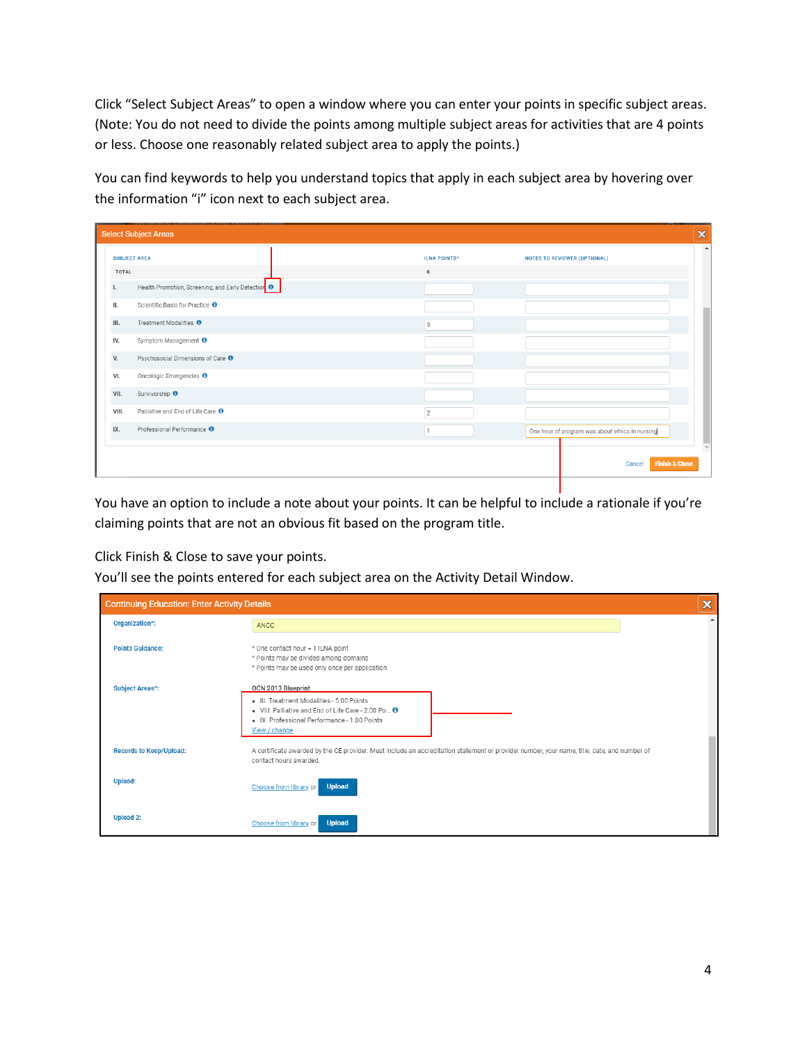Click "Select Subject Areas" to open a window where you can enter your points in specific subject areas. (Note: You do not need to divide the points among multiple subject areas for activities that are 4 points or less. Choose one reasonably related subject area to apply the points.)

You can find keywords to help you understand topics that apply in each subject area by hovering over the information "i" icon next to each subject area.

|              | <b>Select Subject Areas</b>                        |                     | $\pmb{\times}$                                      |
|--------------|----------------------------------------------------|---------------------|-----------------------------------------------------|
|              | <b>SUBJECT AREA</b>                                | <b>ILNA POINTS*</b> | $\Delta$<br><b>NOTES TO REVIEWER (OPTIONAL)</b>     |
| <b>TOTAL</b> |                                                    | 8                   |                                                     |
| Ι.           | Health Promotion, Screening, and Early Detection 0 |                     |                                                     |
| Ш.           | Scientific Basis for Practice <sup>O</sup>         |                     |                                                     |
| III.         | Treatment Modalities <sup>O</sup>                  | $\sqrt{5}$          |                                                     |
| IV.          | Symptom Management <sup>O</sup>                    |                     |                                                     |
| V.           | Psychosocial Dimensions of Care <sup>O</sup>       |                     |                                                     |
| VI.          | Oncologic Emergencies <sup>O</sup>                 |                     |                                                     |
| VII.         | Survivorship <sup>O</sup>                          |                     |                                                     |
| VIII.        | Palliative and End of Life Care <sup>O</sup>       | 2                   |                                                     |
| IX.          | Professional Performance <sup>O</sup>              | $\mathbf{1}$        | One hour of program was about ethics in nursing     |
|              |                                                    |                     | $\mathbf{v}$<br><b>Finish &amp; Close</b><br>Cancel |
|              |                                                    |                     |                                                     |

You have an option to include a note about your points. It can be helpful to include a rationale if you're claiming points that are not an obvious fit based on the program title.

Click Finish & Close to save your points.

You'll see the points entered for each subject area on the Activity Detail Window.

| <b>Continuing Education: Enter Activity Details</b> |                                                                                                                                                                       | ×             |
|-----------------------------------------------------|-----------------------------------------------------------------------------------------------------------------------------------------------------------------------|---------------|
| Organization*:                                      | <b>ANCC</b>                                                                                                                                                           | $\rightarrow$ |
| <b>Points Guidance:</b>                             | * One contact hour = 1 ILNA point<br>* Points may be divided among domains<br>* Points may be used only once per application                                          |               |
| <b>Subject Areas*:</b>                              | OCN 2013 Blueprint                                                                                                                                                    |               |
|                                                     | · III. Treatment Modalities - 5.00 Points<br>. VIII. Palliative and End of Life Care - 2.00 Po O<br>· IX. Professional Performance - 1.00 Points<br>View / change     |               |
| <b>Records to Keep/Upload:</b>                      | A certificate awarded by the CE provider. Must include an accreditation statement or provider number, your name, title, date, and number of<br>contact hours awarded. |               |
| <b>Upload:</b>                                      | <b>Upload</b><br>Choose from library or                                                                                                                               |               |
| <b>Upload 2:</b>                                    | <b>Upload</b><br>Choose from library or                                                                                                                               |               |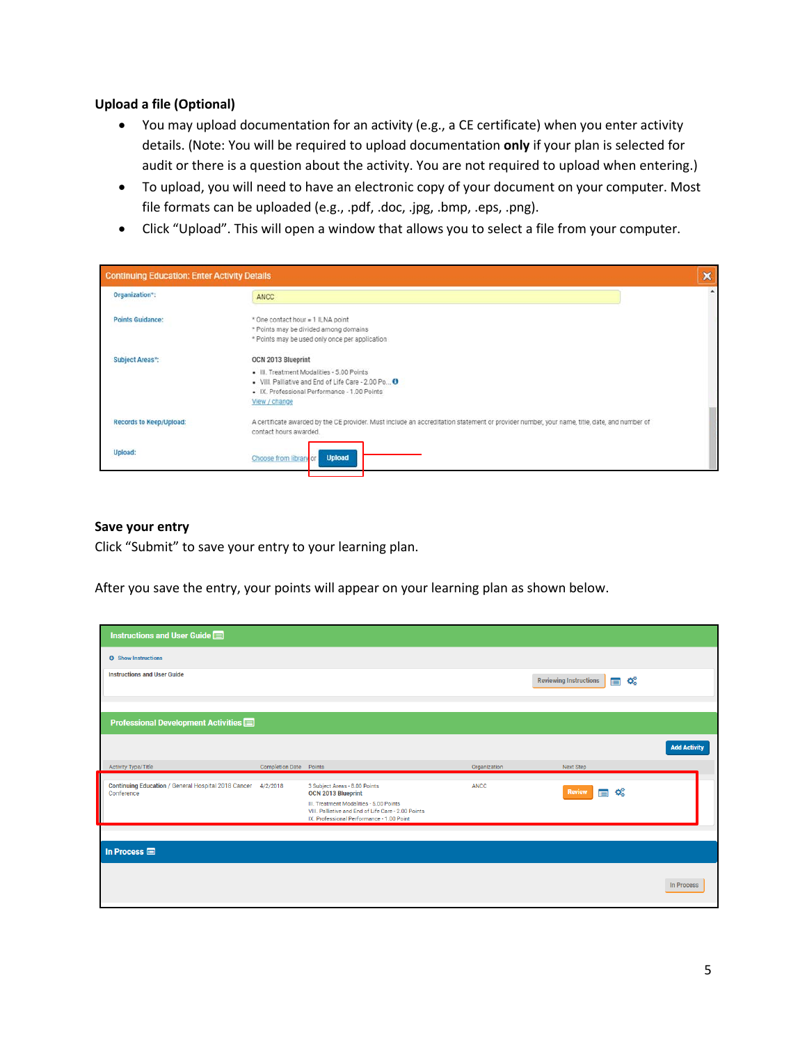## **Upload a file (Optional)**

- You may upload documentation for an activity (e.g., a CE certificate) when you enter activity details. (Note: You will be required to upload documentation **only** if your plan is selected for audit or there is a question about the activity. You are not required to upload when entering.)
- To upload, you will need to have an electronic copy of your document on your computer. Most file formats can be uploaded (e.g., .pdf, .doc, .jpg, .bmp, .eps, .png).
- Click "Upload". This will open a window that allows you to select a file from your computer.

| <b>Continuing Education: Enter Activity Details</b> |                                                                                                                                                                                         | ×        |
|-----------------------------------------------------|-----------------------------------------------------------------------------------------------------------------------------------------------------------------------------------------|----------|
| Organization*:                                      | <b>ANCC</b>                                                                                                                                                                             | $\Delta$ |
| <b>Points Guidance:</b>                             | * One contact hour = 1 ILNA point<br>* Points may be divided among domains<br>* Points may be used only once per application                                                            |          |
| Subject Areas*:                                     | OCN 2013 Blueprint<br>· III. Treatment Modalities - 5.00 Points<br>. VIII. Palliative and End of Life Care - 2.00 Po O<br>· IX. Professional Performance - 1.00 Points<br>View / change |          |
| <b>Records to Keep/Upload:</b>                      | A certificate awarded by the CE provider. Must include an accreditation statement or provider number, your name, title, date, and number of<br>contact hours awarded.                   |          |
| Upload:                                             | <b>Upload</b><br>Choose from library or                                                                                                                                                 |          |

#### **Save your entry**

Click "Submit" to save your entry to your learning plan.

After you save the entry, your points will appear on your learning plan as shown below.

| Instructions and User Guide                                                |                               |                                                                                                                                                                                                           |              |                                      |                     |
|----------------------------------------------------------------------------|-------------------------------|-----------------------------------------------------------------------------------------------------------------------------------------------------------------------------------------------------------|--------------|--------------------------------------|---------------------|
| <b>O</b> Show Instructions                                                 |                               |                                                                                                                                                                                                           |              |                                      |                     |
| <b>Instructions and User Guide</b>                                         |                               |                                                                                                                                                                                                           |              | <b>Reviewing Instructions</b><br>目祭  |                     |
| Professional Development Activities                                        |                               |                                                                                                                                                                                                           |              |                                      |                     |
|                                                                            |                               |                                                                                                                                                                                                           |              |                                      | <b>Add Activity</b> |
| Activity Type/Title                                                        | <b>Completion Date Points</b> |                                                                                                                                                                                                           | Organization | Next Step                            |                     |
| Continuing Education / General Hospital 2018 Cancer 4/2/2018<br>Conference |                               | 3 Subject Areas - 8.00 Points<br><b>OCN 2013 Blueprint</b><br>III. Treatment Modalities - 5.00 Points<br>VIII. Palliative and End of Life Care - 2.00 Points<br>IX. Professional Performance - 1.00 Point | <b>ANCC</b>  | œ<br><b>Review</b><br>$\blacksquare$ |                     |
|                                                                            |                               |                                                                                                                                                                                                           |              |                                      |                     |
| In Process $\blacksquare$                                                  |                               |                                                                                                                                                                                                           |              |                                      |                     |
|                                                                            |                               |                                                                                                                                                                                                           |              |                                      | <b>In Process</b>   |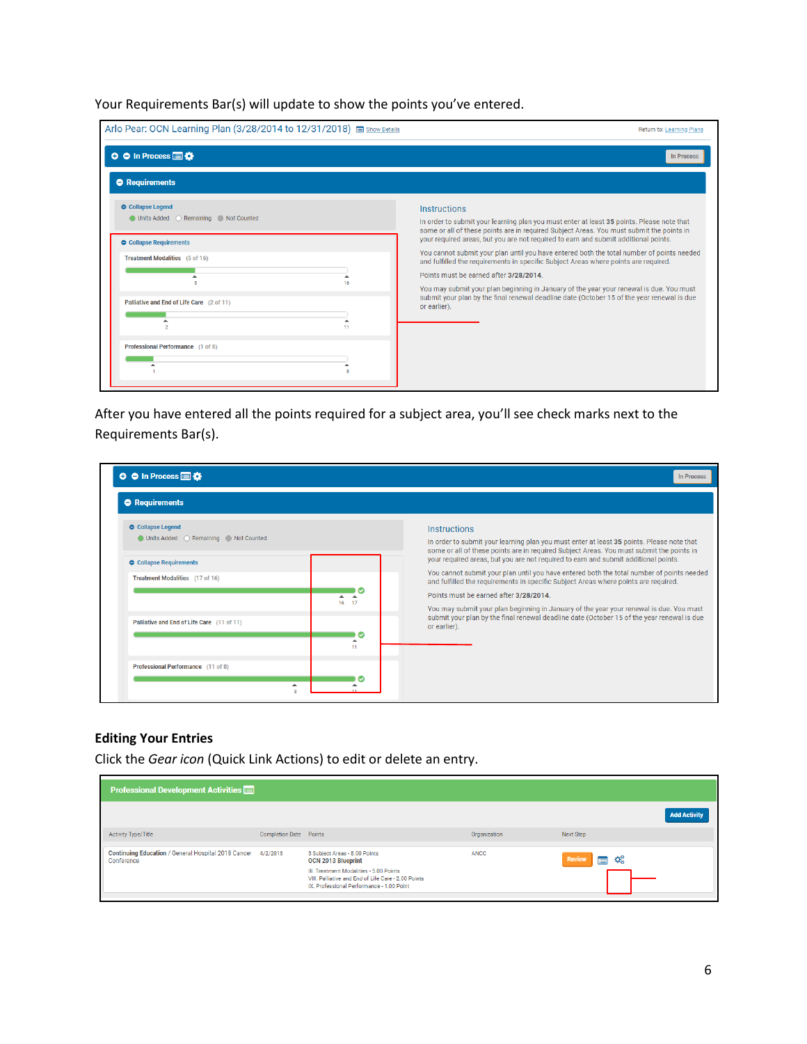Your Requirements Bar(s) will update to show the points you've entered.

| Arlo Pear: OCN Learning Plan (3/28/2014 to 12/31/2018) show Details | Return to: Learning Plans                                                                                                                                                                                                                                               |
|---------------------------------------------------------------------|-------------------------------------------------------------------------------------------------------------------------------------------------------------------------------------------------------------------------------------------------------------------------|
| <b>O</b> ● In Process ■卷                                            | <b>In Process</b>                                                                                                                                                                                                                                                       |
| <b>O</b> Requirements                                               |                                                                                                                                                                                                                                                                         |
| Collapse Legend<br>● Units Added ● Remaining ● Not Counted          | Instructions<br>In order to submit your learning plan you must enter at least 35 points. Please note that<br>some or all of these points are in required Subject Areas. You must submit the points in                                                                   |
| <b>O</b> Collapse Requirements<br>Treatment Modalities (5 of 16)    | your required areas, but you are not required to earn and submit additional points.<br>You cannot submit your plan until you have entered both the total number of points needed<br>and fulfilled the requirements in specific Subject Areas where points are required. |
| 16<br>Palliative and End of Life Care (2 of 11)                     | Points must be earned after 3/28/2014.<br>You may submit your plan beginning in January of the year your renewal is due. You must<br>submit your plan by the final renewal deadline date (October 15 of the year renewal is due                                         |
| 11                                                                  | or earlier).                                                                                                                                                                                                                                                            |
| Professional Performance (1 of 8)                                   |                                                                                                                                                                                                                                                                         |

After you have entered all the points required for a subject area, you'll see check marks next to the Requirements Bar(s).

| <b>O</b> ● In Process ■卷                                          | <b>In Process</b>                                                                                                                                                                                                                                                       |
|-------------------------------------------------------------------|-------------------------------------------------------------------------------------------------------------------------------------------------------------------------------------------------------------------------------------------------------------------------|
| <b>O</b> Requirements                                             |                                                                                                                                                                                                                                                                         |
| <b>O</b> Collapse Legend                                          | <b>Instructions</b><br>In order to submit your learning plan you must enter at least 35 points. Please note that<br>some or all of these points are in required Subject Areas. You must submit the points in                                                            |
| <b>O</b> Collapse Requirements<br>Treatment Modalities (17 of 16) | your required areas, but you are not required to earn and submit additional points.<br>You cannot submit your plan until you have entered both the total number of points needed<br>and fulfilled the requirements in specific Subject Areas where points are required. |
| 16<br>17<br>Palliative and End of Life Care (11 of 11)            | Points must be earned after 3/28/2014.<br>You may submit your plan beginning in January of the year your renewal is due. You must<br>submit your plan by the final renewal deadline date (October 15 of the year renewal is due                                         |
| $\tilde{\phantom{a}}$<br>ᇫ<br>11                                  | or earlier).                                                                                                                                                                                                                                                            |
| Professional Performance (11 of 8)<br>▲                           |                                                                                                                                                                                                                                                                         |

## **Editing Your Entries**

Click the *Gear icon* (Quick Link Actions) to edit or delete an entry.

| <b>Professional Development Activities</b>                                 |                               |                                                                                                                                                                                                           |              |                                       |
|----------------------------------------------------------------------------|-------------------------------|-----------------------------------------------------------------------------------------------------------------------------------------------------------------------------------------------------------|--------------|---------------------------------------|
|                                                                            |                               |                                                                                                                                                                                                           |              | <b>Add Activity</b>                   |
| <b>Activity Type/Title</b>                                                 | <b>Completion Date Points</b> |                                                                                                                                                                                                           | Organization | Next Step                             |
| Continuing Education / General Hospital 2018 Cancer 4/2/2018<br>Conference |                               | 3 Subject Areas - 8.00 Points<br><b>OCN 2013 Blueprint</b><br>III. Treatment Modalities - 5.00 Points<br>VIII. Palliative and End of Life Care - 2.00 Points<br>IX. Professional Performance - 1.00 Point | <b>ANCC</b>  | <b>Review</b><br>Đ.<br>$\blacksquare$ |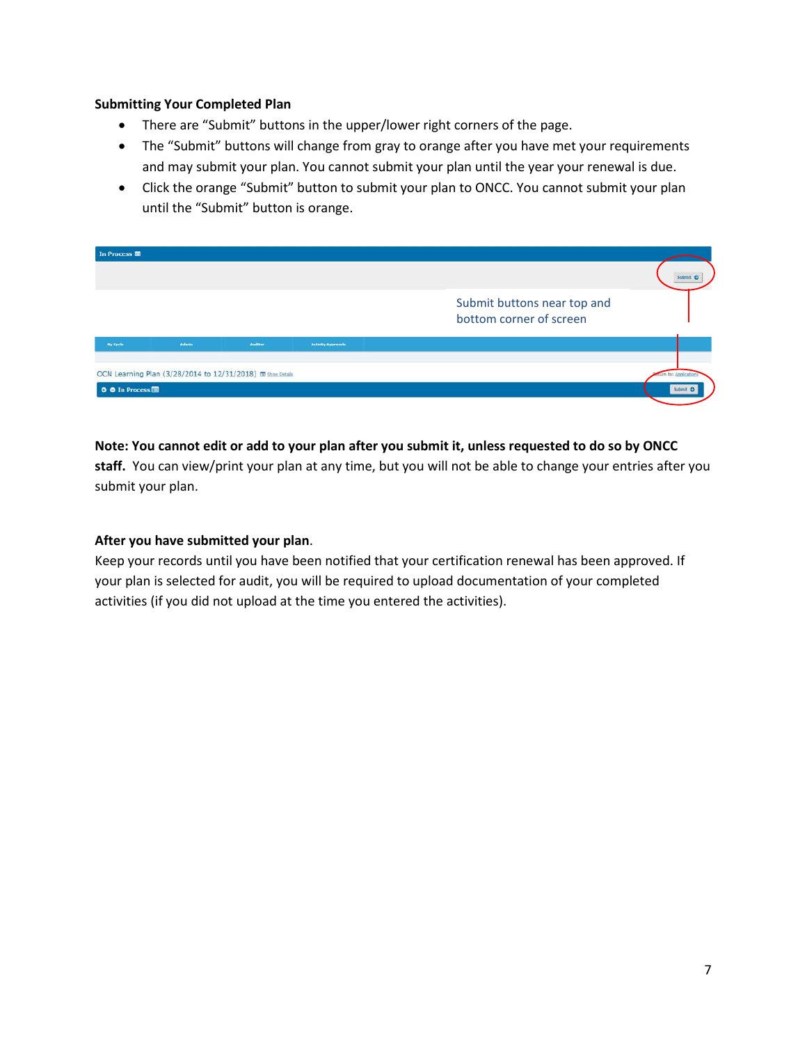## **Submitting Your Completed Plan**

- There are "Submit" buttons in the upper/lower right corners of the page.
- The "Submit" buttons will change from gray to orange after you have met your requirements and may submit your plan. You cannot submit your plan until the year your renewal is due.
- Click the orange "Submit" button to submit your plan to ONCC. You cannot submit your plan until the "Submit" button is orange.



## **Note: You cannot edit or add to your plan after you submit it, unless requested to do so by ONCC**

**staff.** You can view/print your plan at any time, but you will not be able to change your entries after you submit your plan.

## **After you have submitted your plan**.

Keep your records until you have been notified that your certification renewal has been approved. If your plan is selected for audit, you will be required to upload documentation of your completed activities (if you did not upload at the time you entered the activities).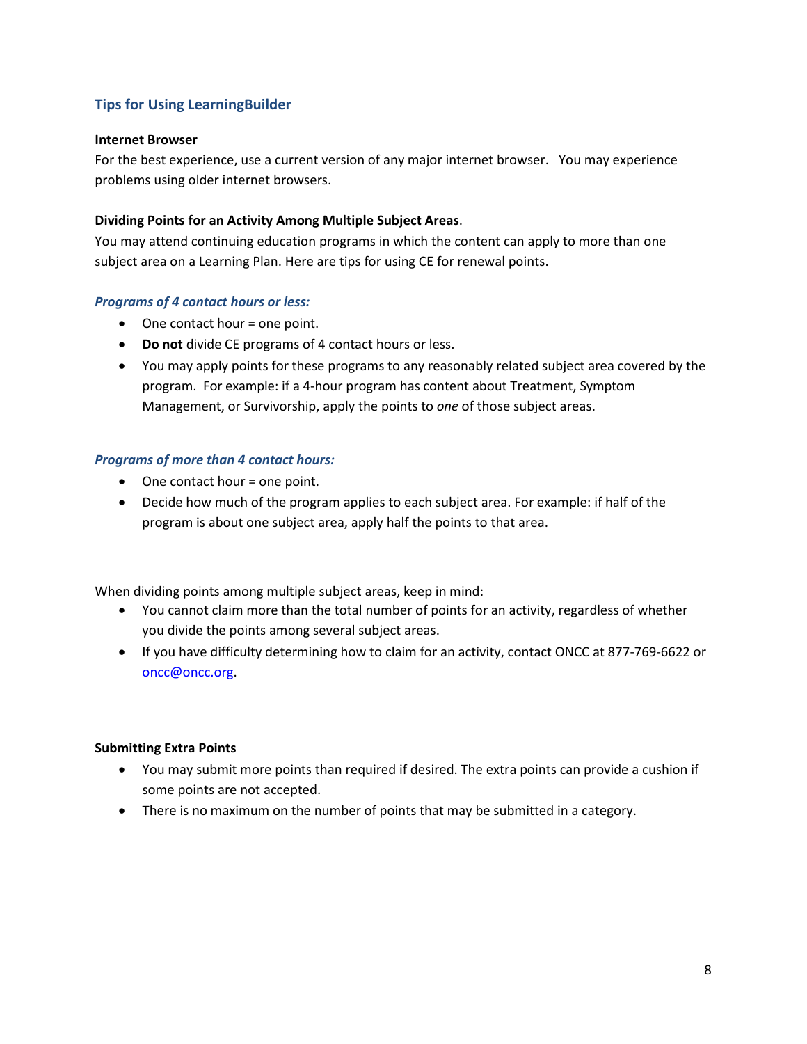## **Tips for Using LearningBuilder**

## **Internet Browser**

For the best experience, use a current version of any major internet browser. You may experience problems using older internet browsers.

## **Dividing Points for an Activity Among Multiple Subject Areas**.

You may attend continuing education programs in which the content can apply to more than one subject area on a Learning Plan. Here are tips for using CE for renewal points.

#### *Programs of 4 contact hours or less:*

- One contact hour = one point.
- **Do not** divide CE programs of 4 contact hours or less.
- You may apply points for these programs to any reasonably related subject area covered by the program. For example: if a 4-hour program has content about Treatment, Symptom Management, or Survivorship, apply the points to *one* of those subject areas.

#### *Programs of more than 4 contact hours:*

- One contact hour = one point.
- Decide how much of the program applies to each subject area. For example: if half of the program is about one subject area, apply half the points to that area.

When dividing points among multiple subject areas, keep in mind:

- You cannot claim more than the total number of points for an activity, regardless of whether you divide the points among several subject areas.
- If you have difficulty determining how to claim for an activity, contact ONCC at 877-769-6622 or [oncc@oncc.org.](mailto:oncc@oncc.org)

#### **Submitting Extra Points**

- You may submit more points than required if desired. The extra points can provide a cushion if some points are not accepted.
- There is no maximum on the number of points that may be submitted in a category.